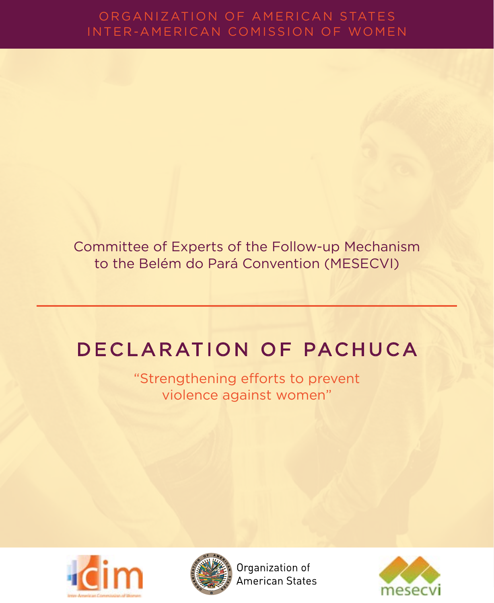# ORGANIZATION OF AMERICAN STATES

Committee of Experts of the Follow-up Mechanism to the Belém do Pará Convention (MESECVI)

# DECLARATION OF PACHUCA

"Strengthening efforts to prevent violence against women"





Organization of American States

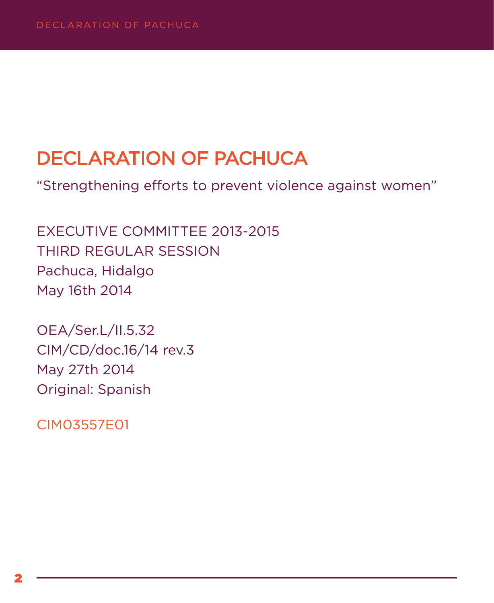## DECLARATION OF PACHUCA

"Strengthening efforts to prevent violence against women"

EXECUTIVE COMMITTEE 2013-2015 THIRD REGULAR SESSION Pachuca, Hidalgo May 16th 2014

OEA/Ser.L/II.5.32 CIM/CD/doc.16/14 rev.3 May 27th 2014 Original: Spanish

CIM03557E01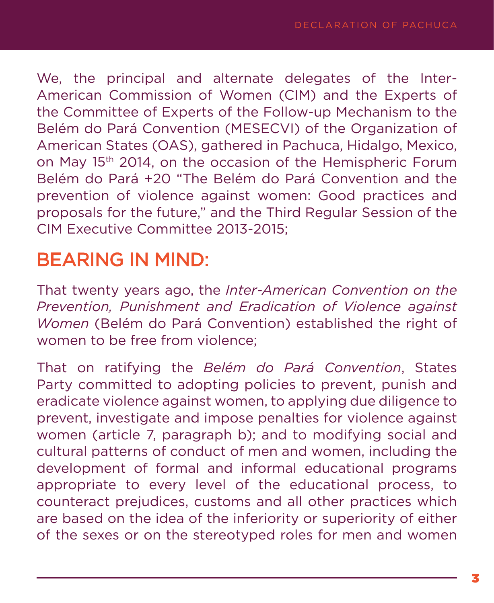We, the principal and alternate delegates of the Inter-American Commission of Women (CIM) and the Experts of the Committee of Experts of the Follow-up Mechanism to the Belém do Pará Convention (MESECVI) of the Organization of American States (OAS), gathered in Pachuca, Hidalgo, Mexico, on May 15th 2014, on the occasion of the Hemispheric Forum Belém do Pará +20 "The Belém do Pará Convention and the prevention of violence against women: Good practices and proposals for the future," and the Third Regular Session of the CIM Executive Committee 2013-2015;

### BEARING IN MIND:

That twenty years ago, the *Inter-American Convention on the Prevention, Punishment and Eradication of Violence against Women* (Belém do Pará Convention) established the right of women to be free from violence;

That on ratifying the *Belém do Pará Convention*, States Party committed to adopting policies to prevent, punish and eradicate violence against women, to applying due diligence to prevent, investigate and impose penalties for violence against women (article 7, paragraph b); and to modifying social and cultural patterns of conduct of men and women, including the development of formal and informal educational programs appropriate to every level of the educational process, to counteract prejudices, customs and all other practices which are based on the idea of the inferiority or superiority of either of the sexes or on the stereotyped roles for men and women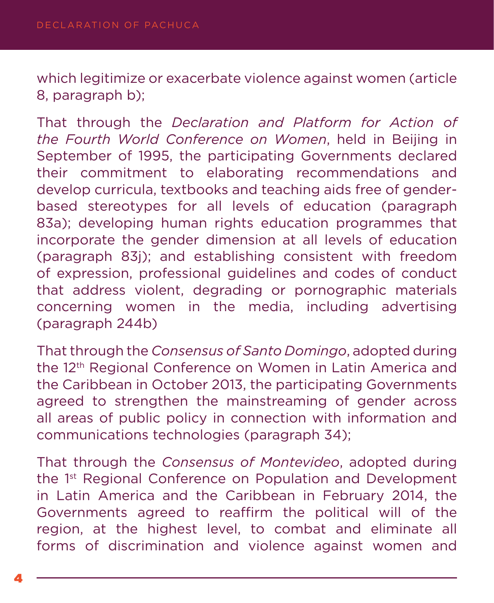which legitimize or exacerbate violence against women (article 8, paragraph b);

That through the *Declaration and Platform for Action of the Fourth World Conference on Women*, held in Beijing in September of 1995, the participating Governments declared their commitment to elaborating recommendations and develop curricula, textbooks and teaching aids free of genderbased stereotypes for all levels of education (paragraph 83a); developing human rights education programmes that incorporate the gender dimension at all levels of education (paragraph 83j); and establishing consistent with freedom of expression, professional guidelines and codes of conduct that address violent, degrading or pornographic materials concerning women in the media, including advertising (paragraph 244b)

That through the *Consensus of Santo Domingo*, adopted during the 12<sup>th</sup> Regional Conference on Women in Latin America and the Caribbean in October 2013, the participating Governments agreed to strengthen the mainstreaming of gender across all areas of public policy in connection with information and communications technologies (paragraph 34);

That through the *Consensus of Montevideo*, adopted during the 1<sup>st</sup> Regional Conference on Population and Development in Latin America and the Caribbean in February 2014, the Governments agreed to reaffirm the political will of the region, at the highest level, to combat and eliminate all forms of discrimination and violence against women and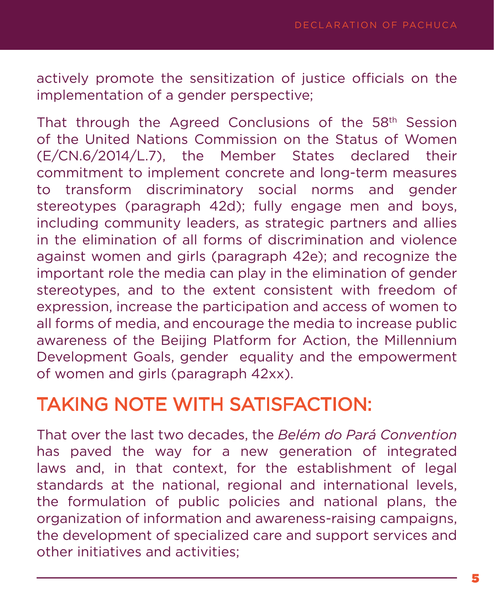actively promote the sensitization of justice officials on the implementation of a gender perspective;

That through the Agreed Conclusions of the 58th Session of the United Nations Commission on the Status of Women (E/CN.6/2014/L.7), the Member States declared their commitment to implement concrete and long-term measures to transform discriminatory social norms and gender stereotypes (paragraph 42d); fully engage men and boys, including community leaders, as strategic partners and allies in the elimination of all forms of discrimination and violence against women and girls (paragraph 42e); and recognize the important role the media can play in the elimination of gender stereotypes, and to the extent consistent with freedom of expression, increase the participation and access of women to all forms of media, and encourage the media to increase public awareness of the Beijing Platform for Action, the Millennium Development Goals, gender equality and the empowerment of women and girls (paragraph 42xx).

## TAKING NOTE WITH SATISFACTION:

That over the last two decades, the *Belém do Pará Convention*  has paved the way for a new generation of integrated laws and, in that context, for the establishment of legal standards at the national, regional and international levels, the formulation of public policies and national plans, the organization of information and awareness-raising campaigns, the development of specialized care and support services and other initiatives and activities;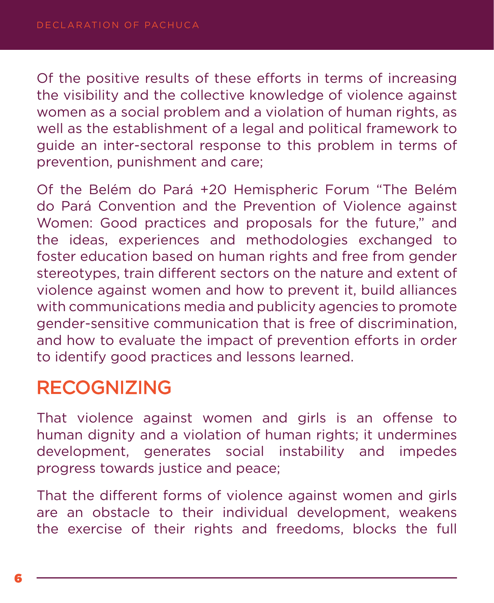Of the positive results of these efforts in terms of increasing the visibility and the collective knowledge of violence against women as a social problem and a violation of human rights, as well as the establishment of a legal and political framework to guide an inter-sectoral response to this problem in terms of prevention, punishment and care;

Of the Belém do Pará +20 Hemispheric Forum "The Belém do Pará Convention and the Prevention of Violence against Women: Good practices and proposals for the future," and the ideas, experiences and methodologies exchanged to foster education based on human rights and free from gender stereotypes, train different sectors on the nature and extent of violence against women and how to prevent it, build alliances with communications media and publicity agencies to promote gender-sensitive communication that is free of discrimination, and how to evaluate the impact of prevention efforts in order to identify good practices and lessons learned.

## RECOGNIZING

That violence against women and girls is an offense to human dignity and a violation of human rights; it undermines development, generates social instability and impedes progress towards justice and peace;

That the different forms of violence against women and girls are an obstacle to their individual development, weakens the exercise of their rights and freedoms, blocks the full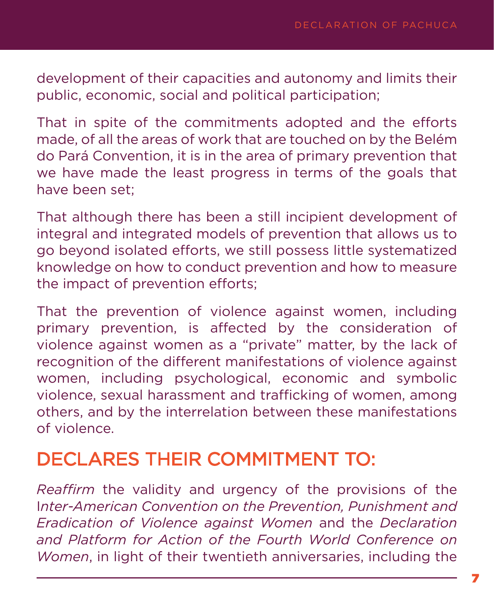development of their capacities and autonomy and limits their public, economic, social and political participation;

That in spite of the commitments adopted and the efforts made, of all the areas of work that are touched on by the Belém do Pará Convention, it is in the area of primary prevention that we have made the least progress in terms of the goals that have been set;

That although there has been a still incipient development of integral and integrated models of prevention that allows us to go beyond isolated efforts, we still possess little systematized knowledge on how to conduct prevention and how to measure the impact of prevention efforts;

That the prevention of violence against women, including primary prevention, is affected by the consideration of violence against women as a "private" matter, by the lack of recognition of the different manifestations of violence against women, including psychological, economic and symbolic violence, sexual harassment and trafficking of women, among others, and by the interrelation between these manifestations of violence.

## DECLARES THEIR COMMITMENT TO:

*Reaffirm* the validity and urgency of the provisions of the I*nter-American Convention on the Prevention, Punishment and Eradication of Violence against Women* and the *Declaration and Platform for Action of the Fourth World Conference on Women*, in light of their twentieth anniversaries, including the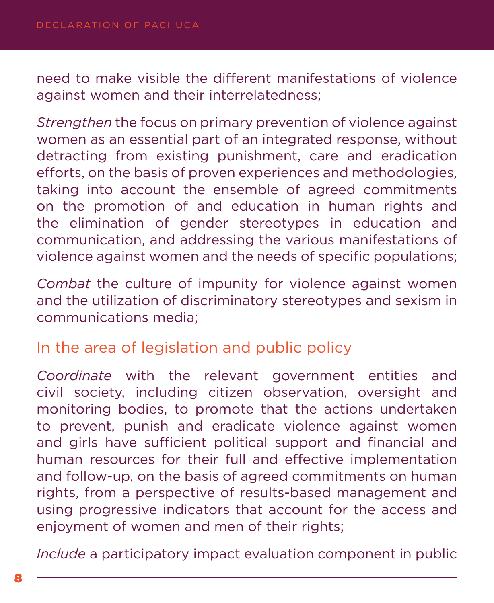need to make visible the different manifestations of violence against women and their interrelatedness;

*Strengthen* the focus on primary prevention of violence against women as an essential part of an integrated response, without detracting from existing punishment, care and eradication efforts, on the basis of proven experiences and methodologies, taking into account the ensemble of agreed commitments on the promotion of and education in human rights and the elimination of gender stereotypes in education and communication, and addressing the various manifestations of violence against women and the needs of specific populations;

*Combat* the culture of impunity for violence against women and the utilization of discriminatory stereotypes and sexism in communications media;

#### In the area of legislation and public policy

*Coordinate* with the relevant government entities and civil society, including citizen observation, oversight and monitoring bodies, to promote that the actions undertaken to prevent, punish and eradicate violence against women and girls have sufficient political support and financial and human resources for their full and effective implementation and follow-up, on the basis of agreed commitments on human rights, from a perspective of results-based management and using progressive indicators that account for the access and enjoyment of women and men of their rights;

*Include* a participatory impact evaluation component in public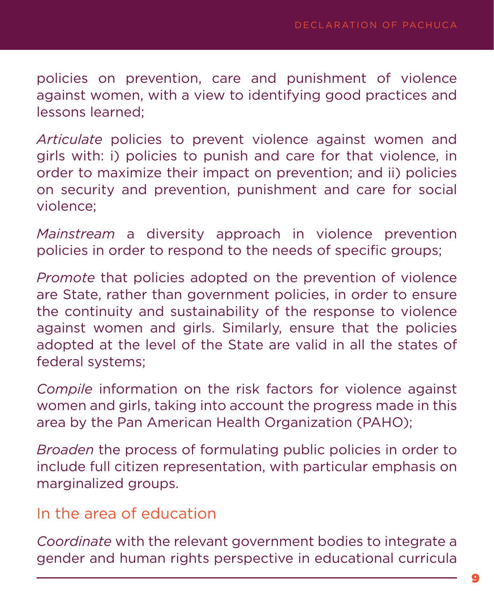policies on prevention, care and punishment of violence against women, with a view to identifying good practices and lessons learned;

*Articulate* policies to prevent violence against women and girls with: i) policies to punish and care for that violence, in order to maximize their impact on prevention; and ii) policies on security and prevention, punishment and care for social violence;

*Mainstream* a diversity approach in violence prevention policies in order to respond to the needs of specific groups;

*Promote* that policies adopted on the prevention of violence are State, rather than government policies, in order to ensure the continuity and sustainability of the response to violence against women and girls. Similarly, ensure that the policies adopted at the level of the State are valid in all the states of federal systems;

*Compile* information on the risk factors for violence against women and girls, taking into account the progress made in this area by the Pan American Health Organization (PAHO);

*Broaden* the process of formulating public policies in order to include full citizen representation, with particular emphasis on marginalized groups.

#### In the area of education

*Coordinate* with the relevant government bodies to integrate a gender and human rights perspective in educational curricula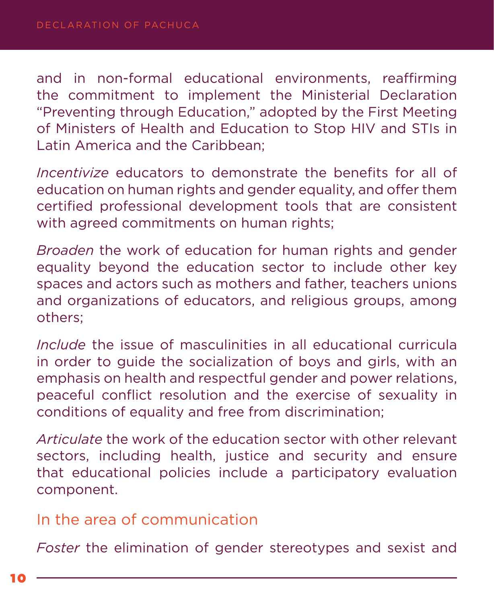and in non-formal educational environments, reaffirming the commitment to implement the Ministerial Declaration "Preventing through Education," adopted by the First Meeting of Ministers of Health and Education to Stop HIV and STIs in Latin America and the Caribbean;

*Incentivize* educators to demonstrate the benefits for all of education on human rights and gender equality, and offer them certified professional development tools that are consistent with agreed commitments on human rights:

*Broaden* the work of education for human rights and gender equality beyond the education sector to include other key spaces and actors such as mothers and father, teachers unions and organizations of educators, and religious groups, among others;

*Include* the issue of masculinities in all educational curricula in order to guide the socialization of boys and girls, with an emphasis on health and respectful gender and power relations, peaceful conflict resolution and the exercise of sexuality in conditions of equality and free from discrimination;

*Articulate* the work of the education sector with other relevant sectors, including health, justice and security and ensure that educational policies include a participatory evaluation component.

#### In the area of communication

*Foster* the elimination of gender stereotypes and sexist and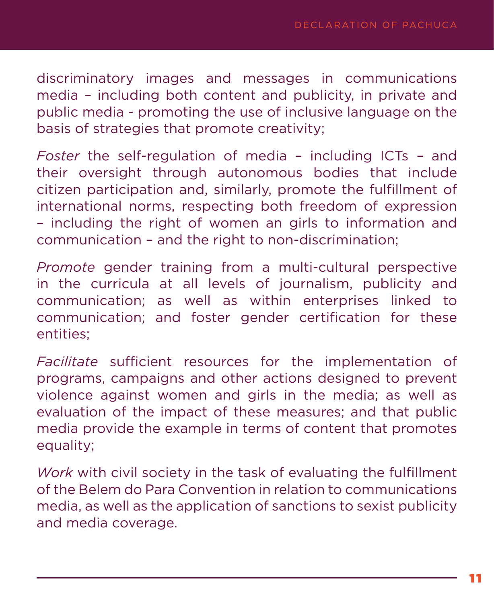discriminatory images and messages in communications media – including both content and publicity, in private and public media - promoting the use of inclusive language on the basis of strategies that promote creativity;

*Foster* the self-regulation of media – including ICTs – and their oversight through autonomous bodies that include citizen participation and, similarly, promote the fulfillment of international norms, respecting both freedom of expression – including the right of women an girls to information and communication – and the right to non-discrimination;

*Promote* gender training from a multi-cultural perspective in the curricula at all levels of journalism, publicity and communication; as well as within enterprises linked to communication; and foster gender certification for these entities;

*Facilitate* sufficient resources for the implementation of programs, campaigns and other actions designed to prevent violence against women and girls in the media; as well as evaluation of the impact of these measures; and that public media provide the example in terms of content that promotes equality;

*Work* with civil society in the task of evaluating the fulfillment of the Belem do Para Convention in relation to communications media, as well as the application of sanctions to sexist publicity and media coverage.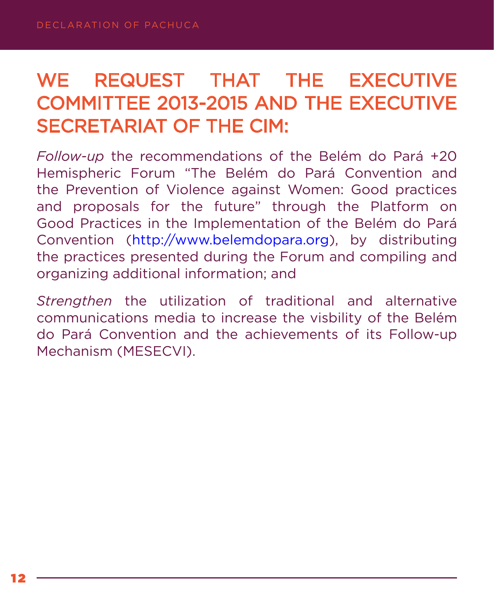# WE REQUEST THAT THE EXECUTIVE COMMITTEE 2013-2015 AND THE EXECUTIVE SECRETARIAT OF THE CIM:

*Follow-up* the recommendations of the Belém do Pará +20 Hemispheric Forum "The Belém do Pará Convention and the Prevention of Violence against Women: Good practices and proposals for the future" through the Platform on Good Practices in the Implementation of the Belém do Pará Convention ([http://www.belemdopara.org\)](http://www.belemdopara.org), by distributing the practices presented during the Forum and compiling and organizing additional information; and

*Strengthen* the utilization of traditional and alternative communications media to increase the visbility of the Belém do Pará Convention and the achievements of its Follow-up Mechanism (MESECVI).